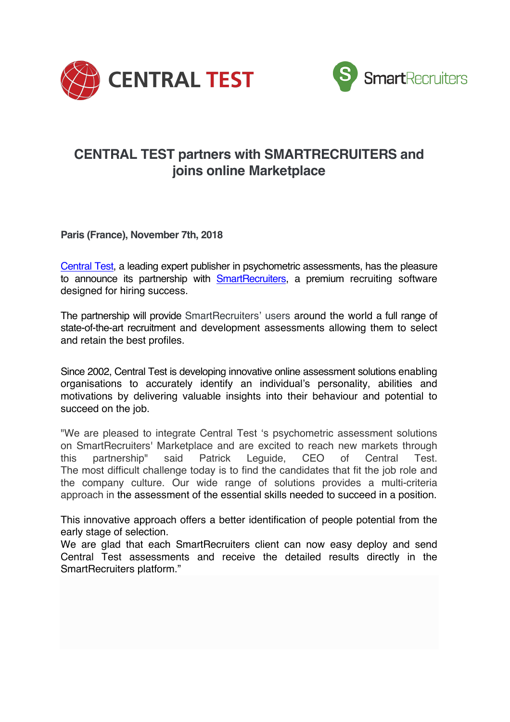



## **CENTRAL TEST partners with SMARTRECRUITERS and joins online Marketplace**

**Paris (France), November 7th, 2018**

Central Test, a leading expert publisher in psychometric assessments, has the pleasure to announce its partnership with **SmartRecruiters**, a premium recruiting software designed for hiring success.

The partnership will provide SmartRecruiters' users around the world a full range of state-of-the-art recruitment and development assessments allowing them to select and retain the best profiles.

Since 2002, Central Test is developing innovative online assessment solutions enabling organisations to accurately identify an individual's personality, abilities and motivations by delivering valuable insights into their behaviour and potential to succeed on the job.

"We are pleased to integrate Central Test 's psychometric assessment solutions on SmartRecruiters' Marketplace and are excited to reach new markets through this partnership" said Patrick Leguide, CEO of Central Test. The most difficult challenge today is to find the candidates that fit the job role and the company culture. Our wide range of solutions provides a multi-criteria approach in the assessment of the essential skills needed to succeed in a position.

This innovative approach offers a better identification of people potential from the early stage of selection.

We are glad that each SmartRecruiters client can now easy deploy and send Central Test assessments and receive the detailed results directly in the SmartRecruiters platform."